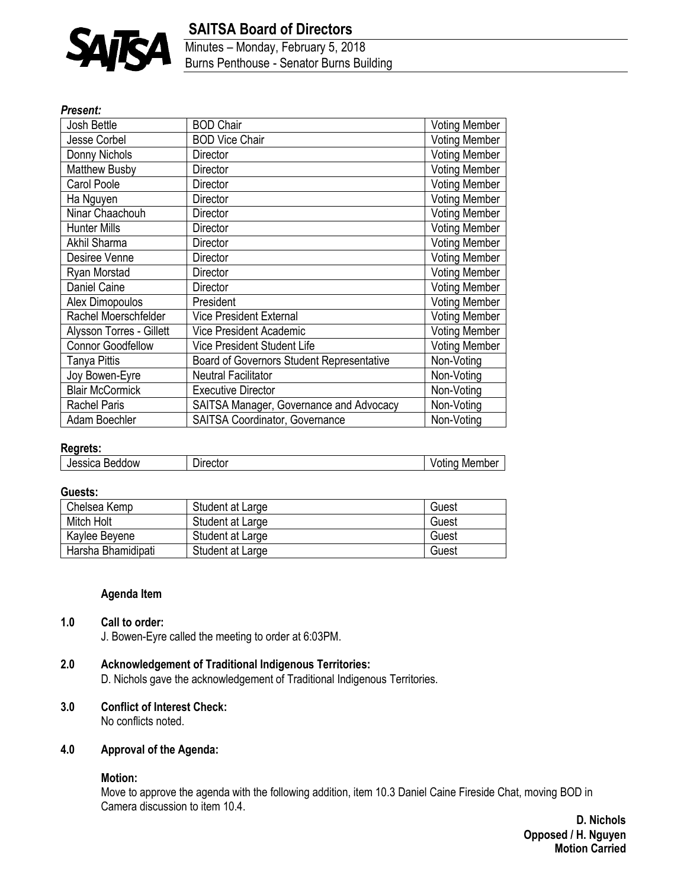

## **SAITSA Board of Directors**

Minutes – Monday, February 5, 2018 Burns Penthouse - Senator Burns Building

#### *Present:*

| Josh Bettle              | <b>BOD Chair</b>                          | <b>Voting Member</b> |
|--------------------------|-------------------------------------------|----------------------|
| <b>Jesse Corbel</b>      | <b>BOD Vice Chair</b>                     | <b>Voting Member</b> |
| Donny Nichols            | Director                                  | <b>Voting Member</b> |
| <b>Matthew Busby</b>     | Director                                  | <b>Voting Member</b> |
| Carol Poole              | Director                                  | <b>Voting Member</b> |
| Ha Nguyen                | Director                                  | <b>Voting Member</b> |
| Ninar Chaachouh          | Director                                  | <b>Voting Member</b> |
| <b>Hunter Mills</b>      | Director                                  | <b>Voting Member</b> |
| Akhil Sharma             | Director                                  | <b>Voting Member</b> |
| Desiree Venne            | Director                                  | <b>Voting Member</b> |
| Ryan Morstad             | Director                                  | <b>Voting Member</b> |
| Daniel Caine             | Director                                  | <b>Voting Member</b> |
| Alex Dimopoulos          | President                                 | <b>Voting Member</b> |
| Rachel Moerschfelder     | <b>Vice President External</b>            | <b>Voting Member</b> |
| Alysson Torres - Gillett | Vice President Academic                   | <b>Voting Member</b> |
| <b>Connor Goodfellow</b> | <b>Vice President Student Life</b>        | <b>Voting Member</b> |
| Tanya Pittis             | Board of Governors Student Representative | Non-Voting           |
| Joy Bowen-Eyre           | Neutral Facilitator                       | Non-Voting           |
| <b>Blair McCormick</b>   | <b>Executive Director</b>                 | Non-Voting           |
| <b>Rachel Paris</b>      | SAITSA Manager, Governance and Advocacy   | Non-Voting           |
| Adam Boechler            | <b>SAITSA Coordinator, Governance</b>     | Non-Voting           |

#### **Regrets:**

| Jessica       | Jirector   | Member |
|---------------|------------|--------|
| <b>Beddow</b> | <b>∪∪∪</b> | /otina |

#### **Guests:**

| Chelsea Kemp       | Student at Large | Guest |
|--------------------|------------------|-------|
| Mitch Holt         | Student at Large | Guest |
| Kaylee Beyene      | Student at Large | Guest |
| Harsha Bhamidipati | Student at Large | Guest |

#### **Agenda Item**

#### **1.0 Call to order:**

J. Bowen-Eyre called the meeting to order at 6:03PM.

- **2.0 Acknowledgement of Traditional Indigenous Territories:**
	- D. Nichols gave the acknowledgement of Traditional Indigenous Territories.

# **3.0 Conflict of Interest Check:**

No conflicts noted.

#### **4.0 Approval of the Agenda:**

#### **Motion:**

Move to approve the agenda with the following addition, item 10.3 Daniel Caine Fireside Chat, moving BOD in Camera discussion to item 10.4.

> **D. Nichols Opposed / H. Nguyen Motion Carried**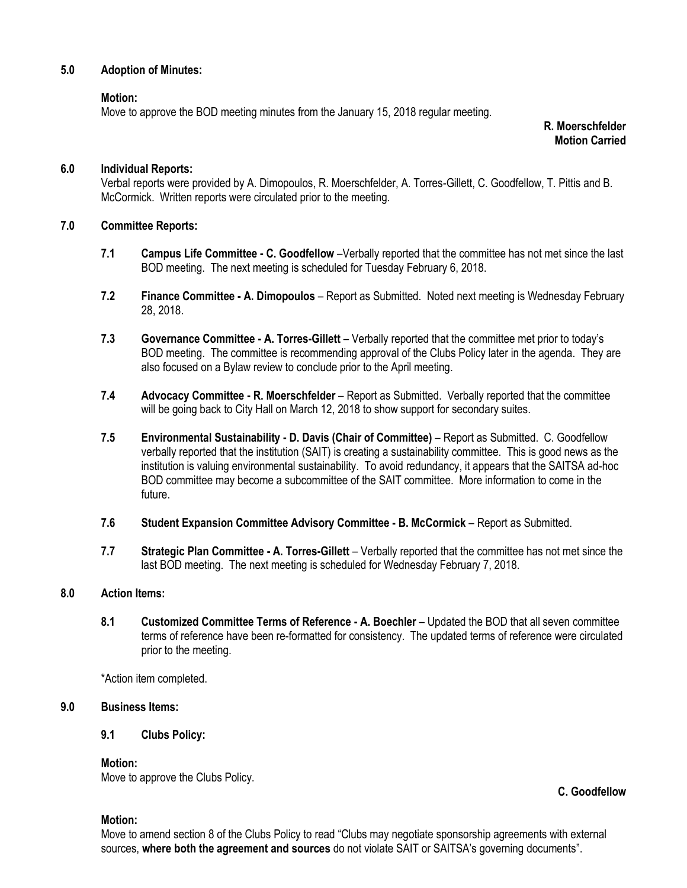### **5.0 Adoption of Minutes:**

#### **Motion:**

Move to approve the BOD meeting minutes from the January 15, 2018 regular meeting.

**R. Moerschfelder Motion Carried**

#### **6.0 Individual Reports:**

Verbal reports were provided by A. Dimopoulos, R. Moerschfelder, A. Torres-Gillett, C. Goodfellow, T. Pittis and B. McCormick. Written reports were circulated prior to the meeting.

#### **7.0 Committee Reports:**

- **7.1 Campus Life Committee - C. Goodfellow** –Verbally reported that the committee has not met since the last BOD meeting. The next meeting is scheduled for Tuesday February 6, 2018.
- **7.2 Finance Committee - A. Dimopoulos** Report as Submitted. Noted next meeting is Wednesday February 28, 2018.
- **7.3 Governance Committee - A. Torres-Gillett**  Verbally reported that the committee met prior to today's BOD meeting. The committee is recommending approval of the Clubs Policy later in the agenda. They are also focused on a Bylaw review to conclude prior to the April meeting.
- **7.4 Advocacy Committee - R. Moerschfelder** Report as Submitted. Verbally reported that the committee will be going back to City Hall on March 12, 2018 to show support for secondary suites.
- **7.5 Environmental Sustainability - D. Davis (Chair of Committee)** Report as Submitted. C. Goodfellow verbally reported that the institution (SAIT) is creating a sustainability committee. This is good news as the institution is valuing environmental sustainability. To avoid redundancy, it appears that the SAITSA ad-hoc BOD committee may become a subcommittee of the SAIT committee. More information to come in the future.
- **7.6 Student Expansion Committee Advisory Committee - B. McCormick** Report as Submitted.
- **7.7 Strategic Plan Committee - A. Torres-Gillett** Verbally reported that the committee has not met since the last BOD meeting. The next meeting is scheduled for Wednesday February 7, 2018.

#### **8.0 Action Items:**

**8.1 Customized Committee Terms of Reference - A. Boechler** – Updated the BOD that all seven committee terms of reference have been re-formatted for consistency. The updated terms of reference were circulated prior to the meeting.

\*Action item completed.

#### **9.0 Business Items:**

#### **9.1 Clubs Policy:**

**Motion:**

Move to approve the Clubs Policy.

#### **Motion:**

Move to amend section 8 of the Clubs Policy to read "Clubs may negotiate sponsorship agreements with external sources, **where both the agreement and sources** do not violate SAIT or SAITSA's governing documents".

**C. Goodfellow**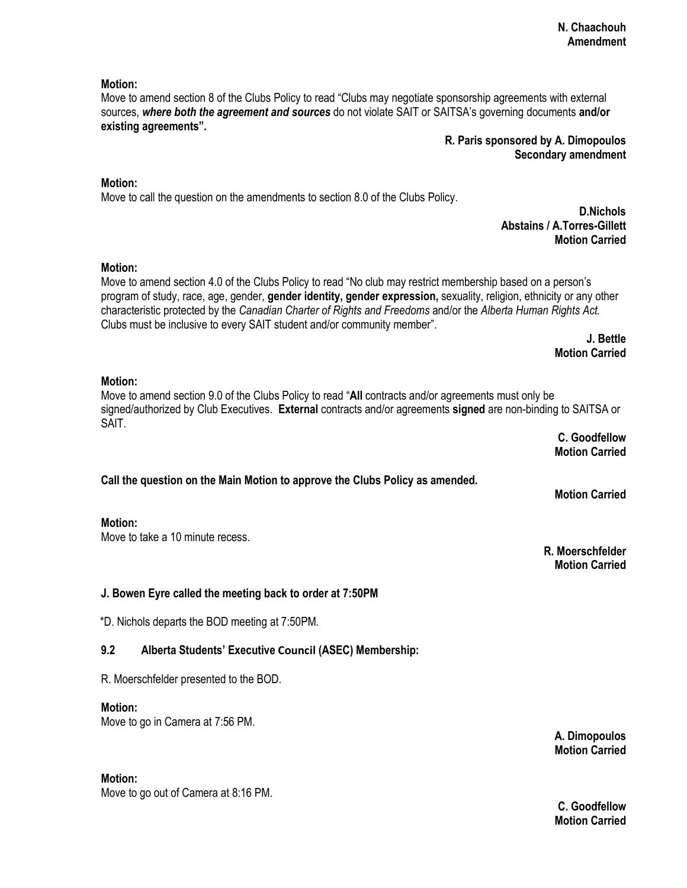#### **Motion:**

Move to amend section 8 of the Clubs Policy to read "Clubs may negotiate sponsorship agreements with external sources, *where both the agreement and sources* do not violate SAIT or SAITSA's governing documents **and/or existing agreements"***.* 

## **R. Paris sponsored by A. Dimopoulos Secondary amendment**

### **Motion:**

Move to call the question on the amendments to section 8.0 of the Clubs Policy.

#### **D.Nichols Abstains / A.Torres-Gillett Motion Carried**

#### **Motion:**

Move to amend section 4.0 of the Clubs Policy to read "No club may restrict membership based on a person's program of study, race, age, gender, **gender identity, gender expression,** sexuality, religion, ethnicity or any other characteristic protected by the *Canadian Charter of Rights and Freedoms* and/or the *Alberta Human Rights Act.*  Clubs must be inclusive to every SAIT student and/or community member".

> **J. Bettle Motion Carried**

#### **Motion:**

Move to amend section 9.0 of the Clubs Policy to read "**All** contracts and/or agreements must only be signed/authorized by Club Executives. **External** contracts and/or agreements **signed** are non-binding to SAITSA or SAIT.

> **C. Goodfellow Motion Carried**

**Motion Carried**

**R. Moerschfelder Motion Carried**

## **Call the question on the Main Motion to approve the Clubs Policy as amended.**

#### **Motion:**

Move to take a 10 minute recess.

## **J. Bowen Eyre called the meeting back to order at 7:50PM**

\*D. Nichols departs the BOD meeting at 7:50PM.

## **9.2 Alberta Students' Executive Council (ASEC) Membership:**

R. Moerschfelder presented to the BOD.

#### **Motion:**

Move to go in Camera at 7:56 PM.

**Motion:**

Move to go out of Camera at 8:16 PM.

**C. Goodfellow Motion Carried**

**A. Dimopoulos Motion Carried**